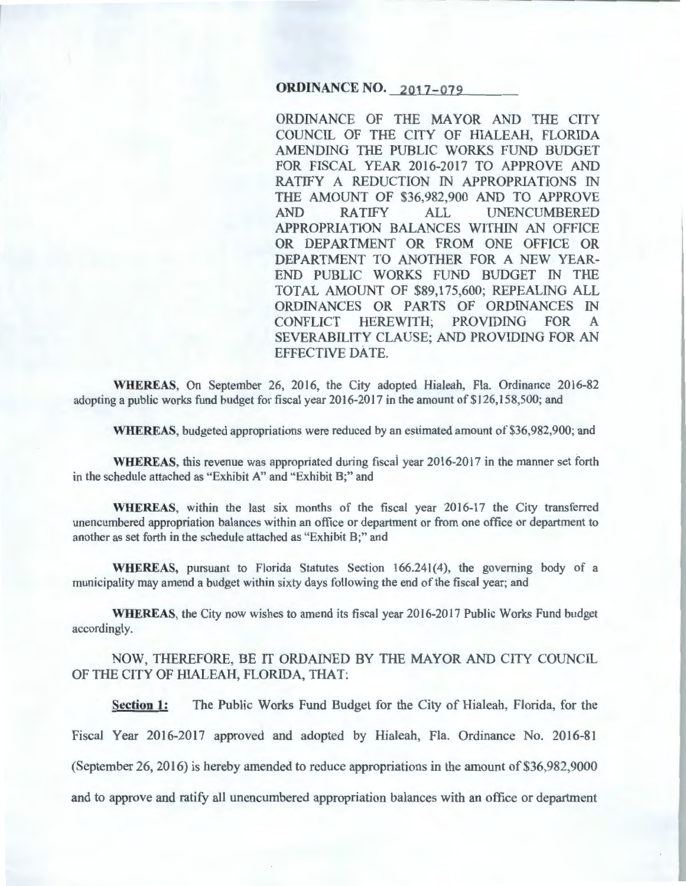#### **ORDINANCE NO. 2017-079**

ORDINANCE OF THE MAYOR AND THE CITY COUNCIL OF THE CITY OF HIALEAH, FLORIDA AMENDING THE PUBLIC WORKS FUND BUDGET FOR FISCAL YEAR 2016-2017 TO APPROVE AND RATIFY A REDUCTION IN APPROPRIATIONS IN THE AMOUNT OF \$36,982,900 AND TO APPROVE AND RATIFY ALL UNENCUMBERED APPROPRIATION BALANCES WITHIN AN OFFICE OR DEPARTMENT OR FROM ONE OFFICE OR DEPARTMENT TO ANOTHER FOR A NEW YEAR-END PUBLIC WORKS FUND BUDGET IN THE TOTAL AMOUNT OF \$89,175,600; REPEALING ALL ORDINANCES OR PARTS OF ORDINANCES IN CONFLICT HEREWITH; PROVIDING FOR A SEVERABILITY CLAUSE; AND PROVIDING FOR AN EFFECTIVE DATE.

WHEREAS, On September 26, 2016, the City adopted Hialeah, Fla. Ordinance 2016-82 adopting a public works fund budget for fiscal year 2016-2017 in the amount of \$126, 158,500; and

WHEREAS, budgeted appropriations were reduced by an estimated amount of \$36,982,900; and

WHEREAS, this revenue was appropriated during fiscai year 2016-2017 in the manner set forth in the schedule attached as "Exhibit A" and "Exhibit B;" and

WHEREAS, within the last six months of the fiscal year 2016-17 the City transferred unencumbered appropriation balances within an office or department or from one office or department to another as set forth in the schedule attached as "Exhibit B;" and

WHEREAS, pursuant to Florida Statutes Section  $166.241(4)$ , the governing body of a municipality may amend a budget within sixty days following the end of the fiscal year; and

WHEREAS, the City now wishes to amend its fiscal year 2016-2017 Public Works Fund budget accordingly.

NOW, THEREFORE, BE IT ORDAINED BY THE MAYOR AND CITY COUNCIL OF THE CITY OF HIALEAH, FLORIDA, THAT:

Section 1: The Public Works Fund Budget for the City of Hialeah, Florida, for the Fiscal Year 2016-2017 approved and adopted by Hialeah, Fla. Ordinance No. 2016-81 (September 26, 2016) is hereby amended to reduce appropriations in the amount of \$36,982,9000 and to approve and ratify all unencumbered appropriation balances with an office or department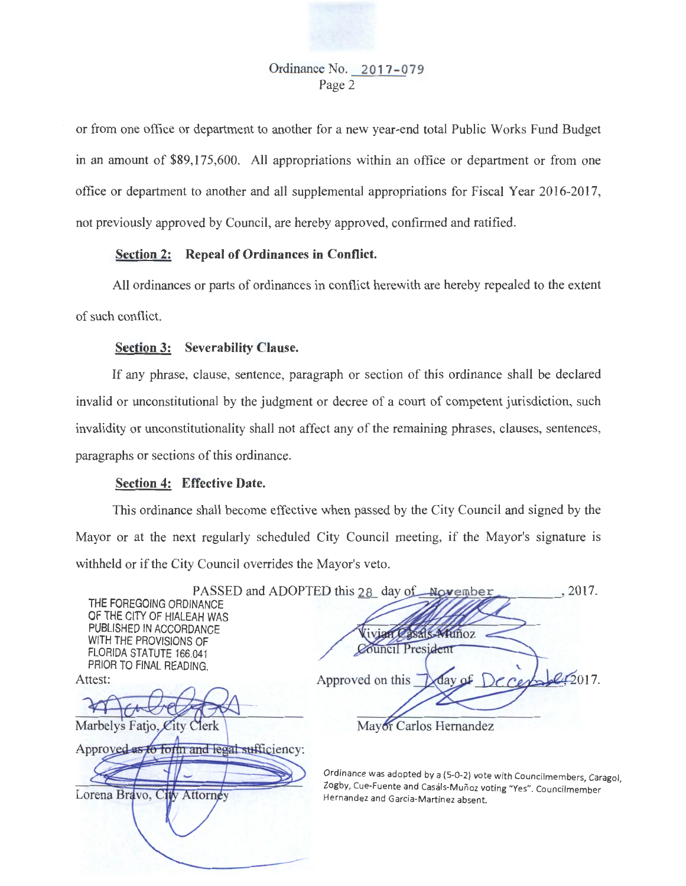or from one office or department to another for a new year-end total Public Works Fund Budget in an amount of \$89,175,600. All appropriations within an office or department or from one office or department to another and all supplemental appropriations for Fiscal Year 2016-2017, not previously approved by Council, are hereby approved, confirmed and ratified.

## Section 2: Repeal of Ordinances in Conflict.

All ordinances or parts of ordinances in conflict herewith are hereby repealed to the extent of such conflict.

### Section 3: Severability Clause.

If any phrase, clause, sentence, paragraph or section of this ordinance shall be declared invalid or unconstitutional by the judgment or decree of a court of competent jurisdiction, such invalidity or unconstitutionality shall not affect any of the remaining phrases, clauses, sentences, paragraphs or sections of this ordinance.

#### Section 4: Effective Date.

Attorney

Lorena Bravo, City

This ordinance shall become effective when passed by the City Council and signed by the Mayor or at the next regularly scheduled City Council meeting, if the Mayor's signature is withheld or if the City Council overrides the Mayor's veto.

|                                                                              | PASSED and ADOPTED this 28 day of November<br>2017. |
|------------------------------------------------------------------------------|-----------------------------------------------------|
| THE FOREGOING ORDINANCE<br>OF THE CITY OF HIALEAH WAS                        |                                                     |
| PUBLISHED IN ACCORDANCE                                                      | vian Casals-Muñoz                                   |
| WITH THE PROVISIONS OF<br>FLORIDA STATUTE 166.041<br>PRIOR TO FINAL READING. | Council President                                   |
| Attest:                                                                      | day of December 2017.<br>Approved on this           |
|                                                                              |                                                     |
| Marbelys Fatjo, City Clerk                                                   | Mayor Carlos Hernandez                              |
| Approved as to form and legal sufficiency:                                   |                                                     |
|                                                                              |                                                     |

Ordinance was adopted by a (5-0-2) vote with Councilmembers, Caragol, Zogby, Cue-Fuente and Casáls-Muñoz voting "Yes". Councilmember Hernandez and Garcia-Martinez absent.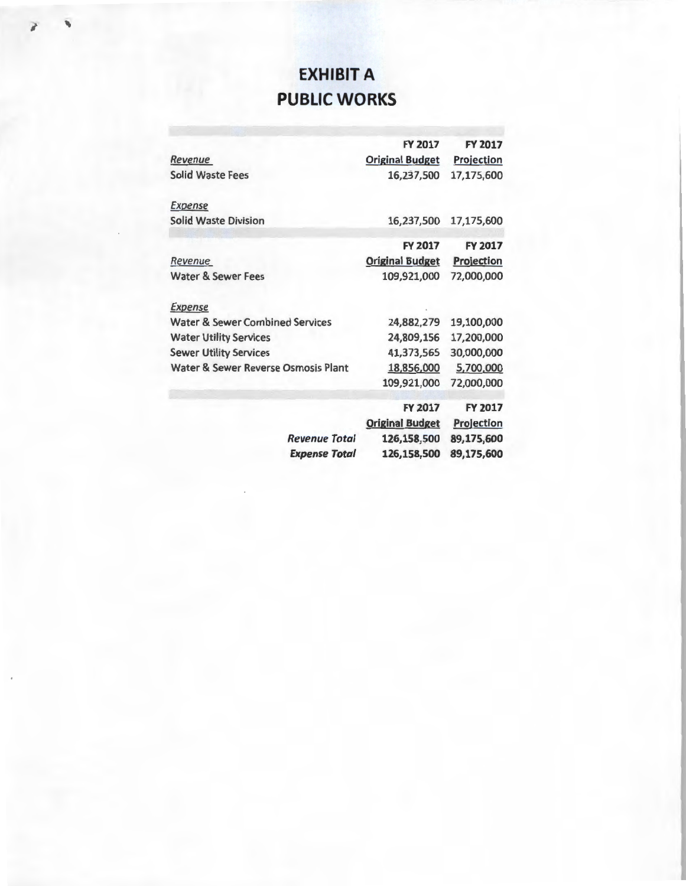# **EXHIBIT A PUBLIC WORKS**

|                                            | <b>FY 2017</b>         | <b>FY 2017</b>           |  |
|--------------------------------------------|------------------------|--------------------------|--|
| <b>Revenue</b>                             | <b>Original Budget</b> | <b>Projection</b>        |  |
| <b>Solid Waste Fees</b>                    | 16,237,500             | 17,175,600               |  |
| <b>Expense</b>                             |                        |                          |  |
| <b>Solid Waste Division</b>                | 16,237,500             | 17,175,600               |  |
|                                            | <b>FY 2017</b>         | <b>FY 2017</b>           |  |
| Revenue                                    | <b>Original Budget</b> | Projection               |  |
| <b>Water &amp; Sewer Fees</b>              | 109,921,000            | 72,000,000               |  |
| <b>Expense</b>                             |                        |                          |  |
| <b>Water &amp; Sewer Combined Services</b> | 24,882,279             | 19,100,000               |  |
| <b>Water Utility Services</b>              | 24,809,156             | 17,200,000               |  |
| <b>Sewer Utility Services</b>              | 41,373,565             | 30,000,000               |  |
| Water & Sewer Reverse Osmosis Plant        | 18,856,000             | 5,700,000                |  |
|                                            | 109,921,000            | 72,000,000               |  |
|                                            | <b>FY 2017</b>         | <b>FY 2017</b>           |  |
|                                            | <b>Original Budget</b> | <b>Projection</b>        |  |
| Revenue Total                              | 126,158,500            | 89,175,600<br>89,175,600 |  |
| <b>Expense Total</b>                       | 126,158,500            |                          |  |
|                                            |                        |                          |  |